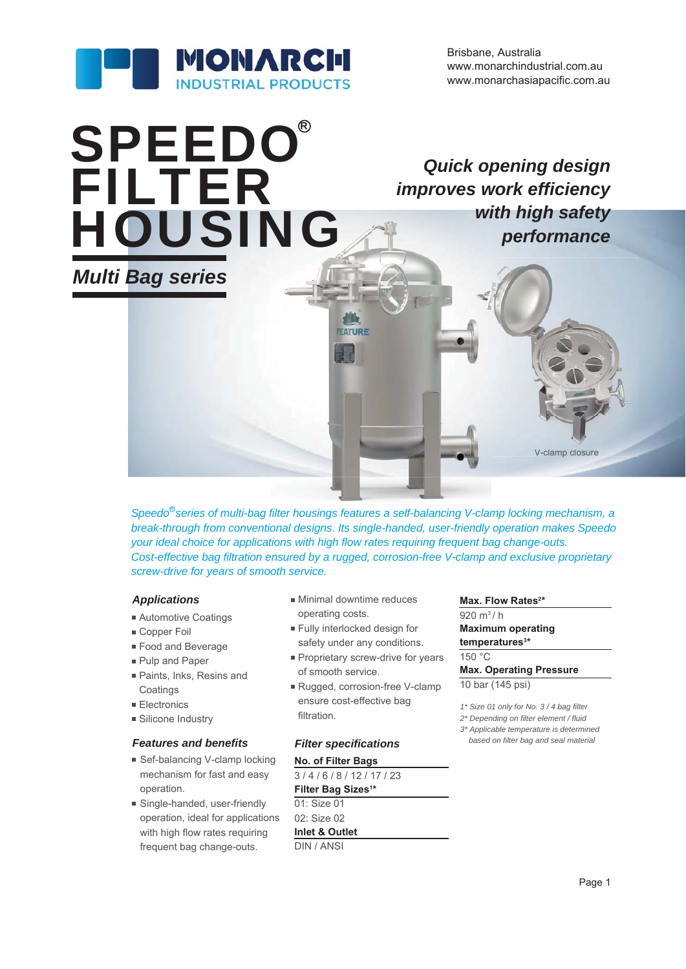

www.monarchasiapacific.com.au Brisbane, Australia www.monarchindustrial.com.au

# *Multi Bag series* **SPEEDO®** FILTER HOUSING

*Quick opening design improves work efficiency with high safety wi performance*

Speedo<sup>®</sup> series of multi-bag filter housings features a self-balancing V-clamp locking mechanism, a *break-through from conventional designs. Its single-handed, user-friendly operation makes Speedo your ideal choice for applications with high flow rates requiring frequent bag change-outs. Cost-effective bag filtration ensured by a rugged, corrosion-free V-clamp and exclusive proprietary screw-drive for years of smooth service.*

#### *Applications*

- **Automotive Coatings**
- Copper Foil
- Food and Beverage
- **Pulp and Paper**
- Paints, Inks, Resins and **Coatings**
- Electronics
- **Silicone Industry**

#### *Features and benefits Filter specifications*

- Sef-balancing V-clamp locking mechanism for fast and easy operation.
- Single-handed, user-friendly operation, ideal for applications with high flow rates requiring frequent bag change-outs.

**Minimal downtime reduces** operating costs.

**FEATURE** 

- Fully interlocked design for safety under any conditions.
- **Proprietary screw-drive for years** of smooth service.
- Rugged, corrosion-free V-clamp ensure cost-effective bag filtration.

#### **No. of Filter Bags**

3 / 4 / 6 / 8 / 12 / 17 / 23 **Filter Bag Sizes1 \*** 01: Size 01 02: Size 02 **Inlet & Outlet** DIN / ANSI

#### Max. Flow Rates<sup>2\*</sup>

920 m3 / h **Maximum operating temperatures3 \*** 150 °C

V-clamp closure V-clamp

## **Max. Operating Pressure**

10 bar (145 psi)

*1\* Size 01 only for No. 3 / 4 bag filter*

- *2\* Depending on filter element / fluid*
- *3\* Applicable temperature is determined based on filter bag and seal material*